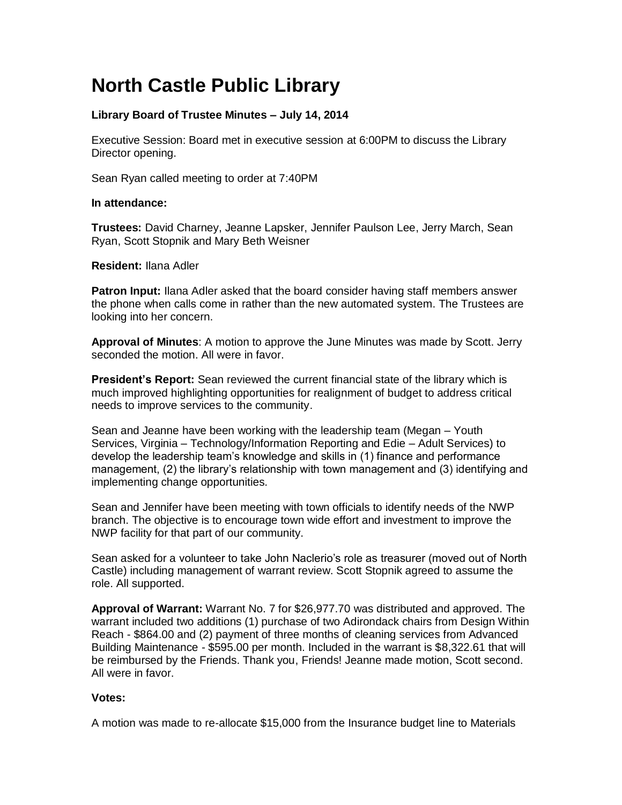## **North Castle Public Library**

## **Library Board of Trustee Minutes – July 14, 2014**

Executive Session: Board met in executive session at 6:00PM to discuss the Library Director opening.

Sean Ryan called meeting to order at 7:40PM

## **In attendance:**

**Trustees:** David Charney, Jeanne Lapsker, Jennifer Paulson Lee, Jerry March, Sean Ryan, Scott Stopnik and Mary Beth Weisner

**Resident:** Ilana Adler

**Patron Input:** Ilana Adler asked that the board consider having staff members answer the phone when calls come in rather than the new automated system. The Trustees are looking into her concern.

**Approval of Minutes**: A motion to approve the June Minutes was made by Scott. Jerry seconded the motion. All were in favor.

**President's Report:** Sean reviewed the current financial state of the library which is much improved highlighting opportunities for realignment of budget to address critical needs to improve services to the community.

Sean and Jeanne have been working with the leadership team (Megan – Youth Services, Virginia – Technology/Information Reporting and Edie – Adult Services) to develop the leadership team's knowledge and skills in (1) finance and performance management, (2) the library's relationship with town management and (3) identifying and implementing change opportunities.

Sean and Jennifer have been meeting with town officials to identify needs of the NWP branch. The objective is to encourage town wide effort and investment to improve the NWP facility for that part of our community.

Sean asked for a volunteer to take John Naclerio's role as treasurer (moved out of North Castle) including management of warrant review. Scott Stopnik agreed to assume the role. All supported.

**Approval of Warrant:** Warrant No. 7 for \$26,977.70 was distributed and approved. The warrant included two additions (1) purchase of two Adirondack chairs from Design Within Reach - \$864.00 and (2) payment of three months of cleaning services from Advanced Building Maintenance - \$595.00 per month. Included in the warrant is \$8,322.61 that will be reimbursed by the Friends. Thank you, Friends! Jeanne made motion, Scott second. All were in favor.

## **Votes:**

A motion was made to re-allocate \$15,000 from the Insurance budget line to Materials